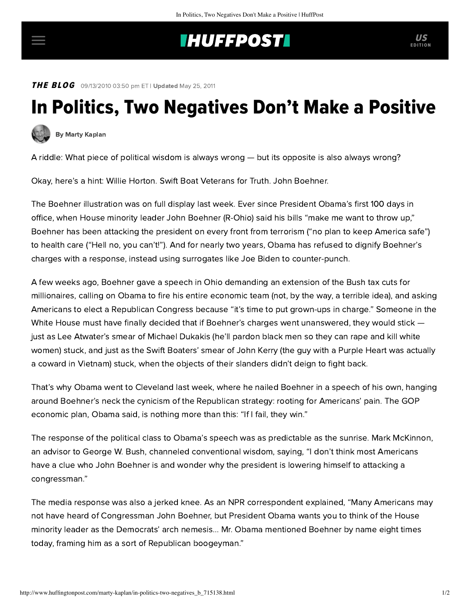## **INUFFPOST**

**THE BLOG** 09/13/2010 03:50 pm ET | Updated May 25, 2011

## In Politics, Two Negatives Don't Make a Positive



[By Marty Kaplan](http://www.huffingtonpost.com/author/marty-kaplan)

A riddle: What piece of political wisdom is always wrong — but its opposite is also always wrong?

Okay, here's a hint: Willie Horton. Swift Boat Veterans for Truth. John Boehner.

The Boehner illustration was on full display last week. Ever since President Obama's first 100 days in office, when House minority leader John Boehner (R-Ohio) [said](http://www.washingtontimes.com/news/2009/apr/29/boehner-rips-obama-agenda/) his bills "make me want to throw up," Boehner has been attacking the president on every front from terrorism ("no plan to keep America safe") to health care ("Hell no, you can't!"). And for nearly two years, Obama has refused to dignify Boehner's charges with a response, instead using surrogates like Joe Biden to counter-punch.

A few weeks ago, Boehner gave a [speech](http://www.washingtonmonthly.com/archives/individual/2010_08/025351.php) in Ohio demanding an extension of the Bush tax cuts for millionaires, calling on Obama to fire his entire economic team (not, by the way, a terrible idea), and asking Americans to elect a Republican Congress because "it's time to put grown-ups in charge." Someone in the White House must have finally decided that if Boehner's charges went unanswered, they would stick  $$ just as Lee Atwater's smear of Michael Dukakis (he'll pardon black men so they can rape and kill white women) stuck, and just as the Swift Boaters' smear of John Kerry (the guy with a Purple Heart was actually a coward in Vietnam) stuck, when the objects of their slanders didn't deign to fight back.

That's why Obama went to Cleveland last week, where he nailed Boehner in a speech of his own, hanging around Boehner's neck the cynicism of the Republican strategy: rooting for Americans' pain. The GOP economic plan, Obama [said,](http://www.whitehouse.gov/blog/2010/09/08/president-obama-economy-cleveland-america-i-believe) is nothing more than this: "If I fail, they win."

The response of the political class to Obama's speech was as predictable as the sunrise. Mark McKinnon, an advisor to George W. Bush, channeled conventional wisdom, [saying,](http://articles.latimes.com/2010/sep/10/nation/la-na-obama-boehner-20100910) "I don't think most Americans have a clue who John Boehner is and wonder why the president is lowering himself to attacking a congressman."

The media response was also a jerked knee. As an [NPR](http://www.npr.org/templates/story/story.php?storyId=129731023) correspondent explained, "Many Americans may not have heard of Congressman John Boehner, but President Obama wants you to think of the House minority leader as the Democrats' arch nemesis... Mr. Obama mentioned Boehner by name eight times today, framing him as a sort of Republican boogeyman."